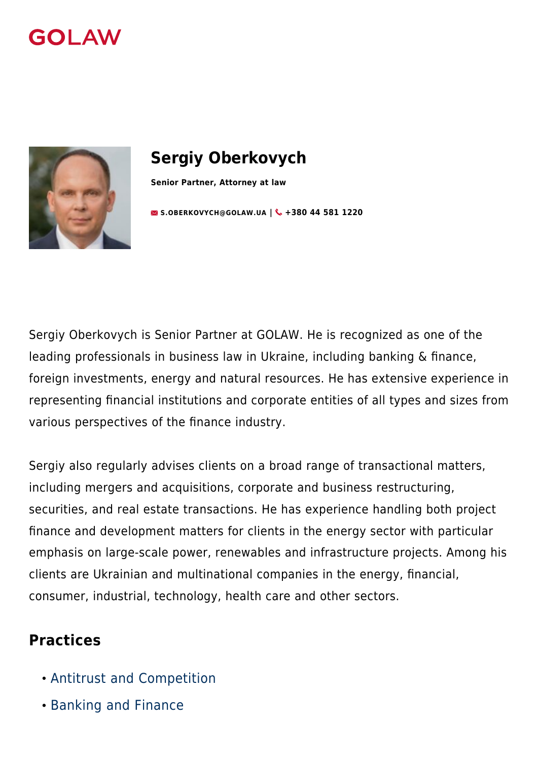



# **Sergiy Oberkovych**

**Senior Partner, Attorney at law**

**[S.OBERKOVYCH@GOLAW.UA](mailto:info@golaw.ua) | & +380 44 581 1220** 

Sergiy Oberkovych is Senior Partner at GOLAW. He is recognized as one of the leading professionals in business law in Ukraine, including banking & finance, foreign investments, energy and natural resources. He has extensive experience in representing financial institutions and corporate entities of all types and sizes from various perspectives of the finance industry.

Sergiy also regularly advises clients on a broad range of transactional matters, including mergers and acquisitions, corporate and business restructuring, securities, and real estate transactions. He has experience handling both project finance and development matters for clients in the energy sector with particular emphasis on large-scale power, renewables and infrastructure projects. Among his clients are Ukrainian and multinational companies in the energy, financial, consumer, industrial, technology, health care and other sectors.

#### **Practices**

- [Antitrust and Competition](#page--1-0)
- [Banking and Finance](#page--1-0)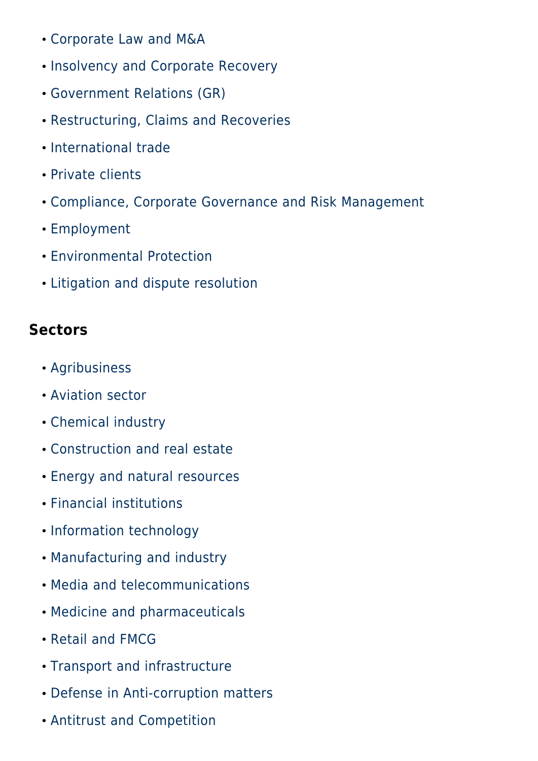- [Corporate Law and M&A](#page--1-0)
- [Insolvency and Corporate Recovery](#page--1-0)
- [Government Relations \(GR\)](#page--1-0)
- [Restructuring, Claims and Recoveries](#page--1-0)
- [International trade](#page--1-0)
- [Private clients](#page--1-0)
- [Compliance, Corporate Governance and Risk Management](#page--1-0)
- [Employment](#page--1-0)
- [Environmental Protection](#page--1-0)
- [Litigation and dispute resolution](#page--1-0)

## **Sectors**

- [Agribusiness](#page--1-0)
- [Aviation sector](#page--1-0)
- [Chemical industry](#page--1-0)
- [Construction and real estate](#page--1-0)
- [Energy and natural resources](#page--1-0)
- [Financial institutions](#page--1-0)
- [Information technology](#page--1-0)
- [Manufacturing and industry](#page--1-0)
- [Media and telecommunications](#page--1-0)
- [Medicine and pharmaceuticals](#page--1-0)
- [Retail and FMCG](#page--1-0)
- [Transport and infrastructure](#page--1-0)
- [Defense in Anti-corruption matters](#page--1-0)
- [Antitrust and Competition](#page--1-0)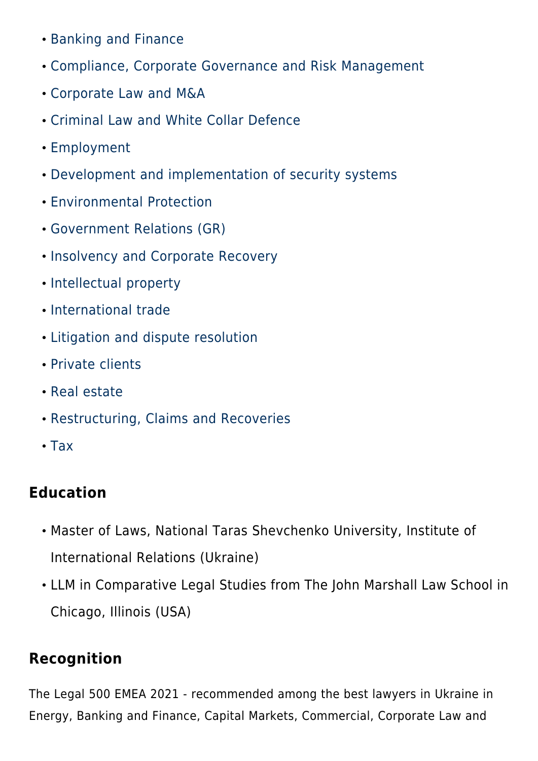- [Banking and Finance](#page--1-0)
- [Compliance, Corporate Governance and Risk Management](#page--1-0)
- [Corporate Law and M&A](#page--1-0)
- [Criminal Law and White Collar Defence](#page--1-0)
- [Employment](#page--1-0)
- [Development and implementation of security systems](#page--1-0)
- [Environmental Protection](#page--1-0)
- [Government Relations \(GR\)](#page--1-0)
- **. [Insolvency and Corporate Recovery](#page--1-0)**
- [Intellectual property](#page--1-0)
- [International trade](#page--1-0)
- [Litigation and dispute resolution](#page--1-0)
- [Private clients](#page--1-0)
- [Real estate](#page--1-0)
- [Restructuring, Claims and Recoveries](#page--1-0)
- [Tax](#page--1-0)

## **Education**

- Master of Laws, National Taras Shevchenko University, Institute of International Relations (Ukraine)
- LLM in Comparative Legal Studies from The John Marshall Law School in Chicago, Illinois (USA)

### **Recognition**

The Legal 500 EMEA 2021 - recommended among the best lawyers in Ukraine in Energy, Banking and Finance, Capital Markets, Commercial, Corporate Law and